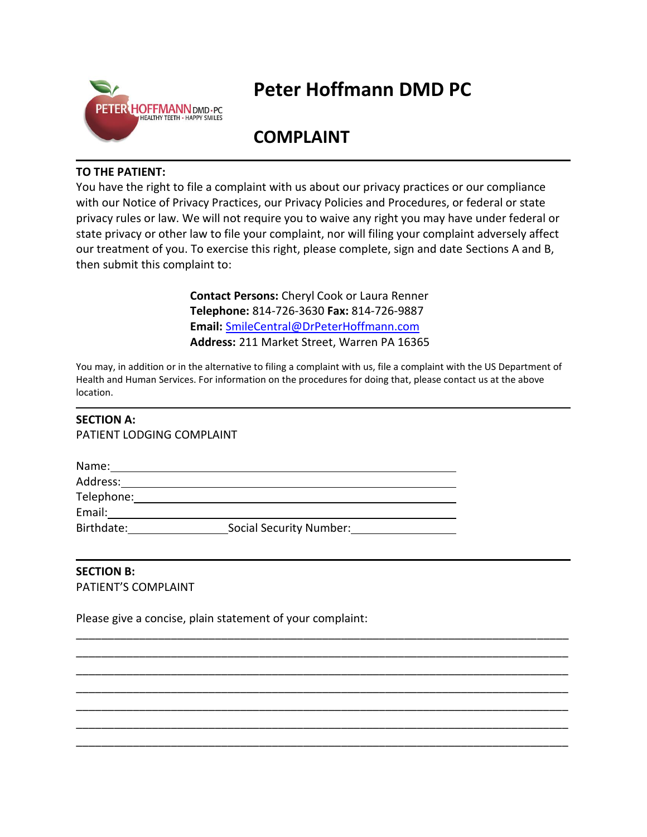

## **Peter Hoffmann DMD PC**

## **COMPLAINT**

## **TO THE PATIENT:**

You have the right to file a complaint with us about our privacy practices or our compliance with our Notice of Privacy Practices, our Privacy Policies and Procedures, or federal or state privacy rules or law. We will not require you to waive any right you may have under federal or state privacy or other law to file your complaint, nor will filing your complaint adversely affect our treatment of you. To exercise this right, please complete, sign and date Sections A and B, then submit this complaint to:

> **Contact Persons:** Cheryl Cook or Laura Renner **Telephone:** 814-726-3630 **Fax:** 814-726-9887 **Email:** [SmileCentral@DrPeterHoffmann.com](mailto:SmileCentral@DrPeterHoffmann.com) **Address:** 211 Market Street, Warren PA 16365

You may, in addition or in the alternative to filing a complaint with us, file a complaint with the US Department of Health and Human Services. For information on the procedures for doing that, please contact us at the above location.

\_\_\_\_\_\_\_\_\_\_\_\_\_\_\_\_\_\_\_\_\_\_\_\_\_\_\_\_\_\_\_\_\_\_\_\_\_\_\_\_\_\_\_\_\_\_\_\_\_\_\_\_\_\_\_\_\_\_\_\_\_\_\_\_\_\_\_\_\_\_\_\_\_\_\_\_\_\_ \_\_\_\_\_\_\_\_\_\_\_\_\_\_\_\_\_\_\_\_\_\_\_\_\_\_\_\_\_\_\_\_\_\_\_\_\_\_\_\_\_\_\_\_\_\_\_\_\_\_\_\_\_\_\_\_\_\_\_\_\_\_\_\_\_\_\_\_\_\_\_\_\_\_\_\_\_\_ \_\_\_\_\_\_\_\_\_\_\_\_\_\_\_\_\_\_\_\_\_\_\_\_\_\_\_\_\_\_\_\_\_\_\_\_\_\_\_\_\_\_\_\_\_\_\_\_\_\_\_\_\_\_\_\_\_\_\_\_\_\_\_\_\_\_\_\_\_\_\_\_\_\_\_\_\_\_ \_\_\_\_\_\_\_\_\_\_\_\_\_\_\_\_\_\_\_\_\_\_\_\_\_\_\_\_\_\_\_\_\_\_\_\_\_\_\_\_\_\_\_\_\_\_\_\_\_\_\_\_\_\_\_\_\_\_\_\_\_\_\_\_\_\_\_\_\_\_\_\_\_\_\_\_\_\_ \_\_\_\_\_\_\_\_\_\_\_\_\_\_\_\_\_\_\_\_\_\_\_\_\_\_\_\_\_\_\_\_\_\_\_\_\_\_\_\_\_\_\_\_\_\_\_\_\_\_\_\_\_\_\_\_\_\_\_\_\_\_\_\_\_\_\_\_\_\_\_\_\_\_\_\_\_\_ \_\_\_\_\_\_\_\_\_\_\_\_\_\_\_\_\_\_\_\_\_\_\_\_\_\_\_\_\_\_\_\_\_\_\_\_\_\_\_\_\_\_\_\_\_\_\_\_\_\_\_\_\_\_\_\_\_\_\_\_\_\_\_\_\_\_\_\_\_\_\_\_\_\_\_\_\_\_ \_\_\_\_\_\_\_\_\_\_\_\_\_\_\_\_\_\_\_\_\_\_\_\_\_\_\_\_\_\_\_\_\_\_\_\_\_\_\_\_\_\_\_\_\_\_\_\_\_\_\_\_\_\_\_\_\_\_\_\_\_\_\_\_\_\_\_\_\_\_\_\_\_\_\_\_\_\_

## **SECTION A:**

PATIENT LODGING COMPLAINT

| Name:      |                                |  |
|------------|--------------------------------|--|
| Address:   |                                |  |
| Telephone: |                                |  |
| Email:     |                                |  |
| Birthdate: | <b>Social Security Number:</b> |  |

**SECTION B:**  PATIENT'S COMPLAINT

Please give a concise, plain statement of your complaint: